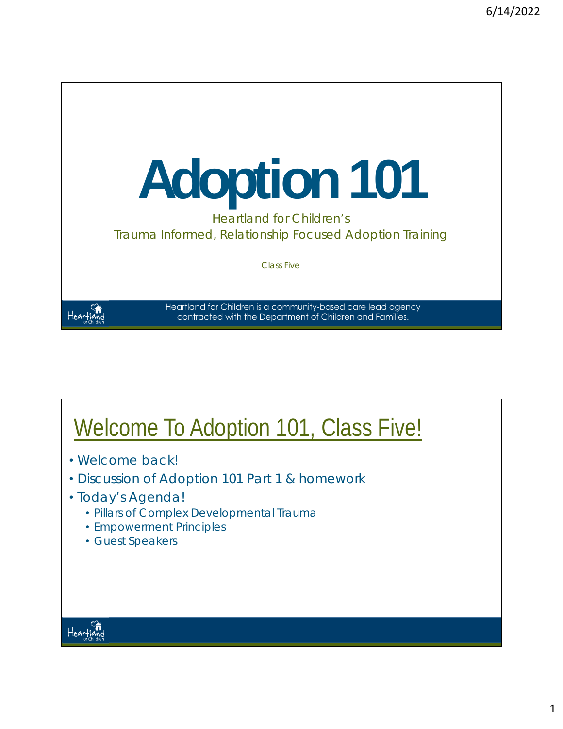

#### Welcome To Adoption 101, Class Five!

- Welcome back!
- Discussion of Adoption 101 Part 1 & homework
- Today's Agenda!
	- Pillars of Complex Developmental Trauma
	- Empowerment Principles
	- Guest Speakers

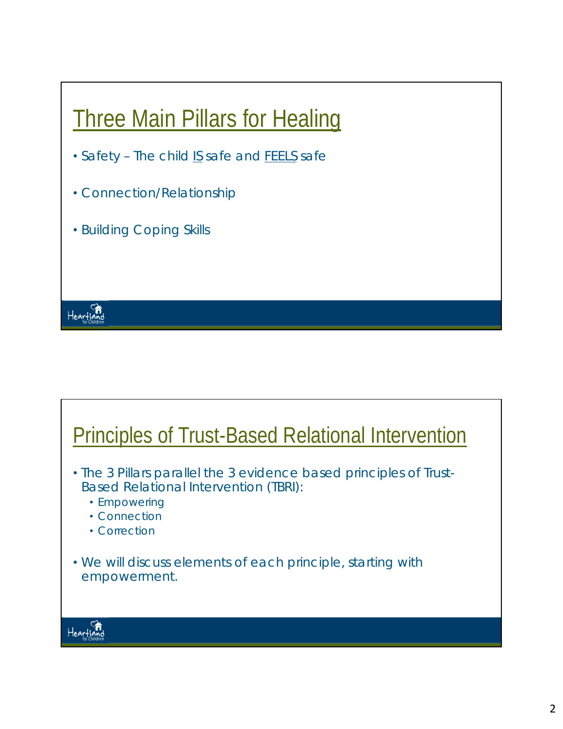

- *Safety –* The child *IS* safe and *FEELS* safe
- *Connection/Relationship*
- *Building Coping Skills*

### Principles of Trust-Based Relational Intervention

- The 3 Pillars parallel the 3 evidence based principles of Trust-Based Relational Intervention (TBRI):
	- Empowering
	- Connection
	- Correction
- We will discuss elements of each principle, starting with empowerment.



Heartland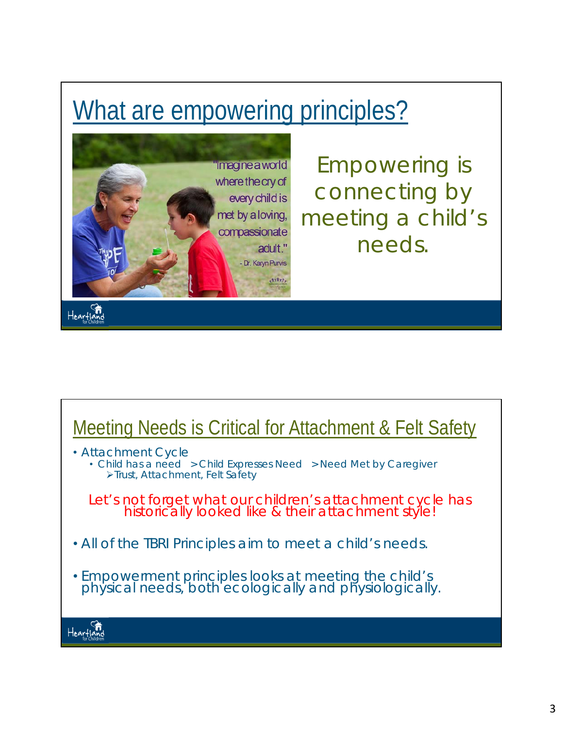### What are empowering principles?



*Empowering is connecting by meeting a child's needs.* 

#### Meeting Needs is Critical for Attachment & Felt Safety

- Attachment Cycle
	- Child has a need > Child Expresses Need > Need Met by Caregiver Trust, Attachment, Felt Safety

*Let's not forget what our children's attachment cycle has historically looked like & their attachment style!* 

- *All of the TBRI Principles aim to meet a child's needs.*
- Empowerment principles looks at meeting the child's physical needs, both ecologically and physiologically.

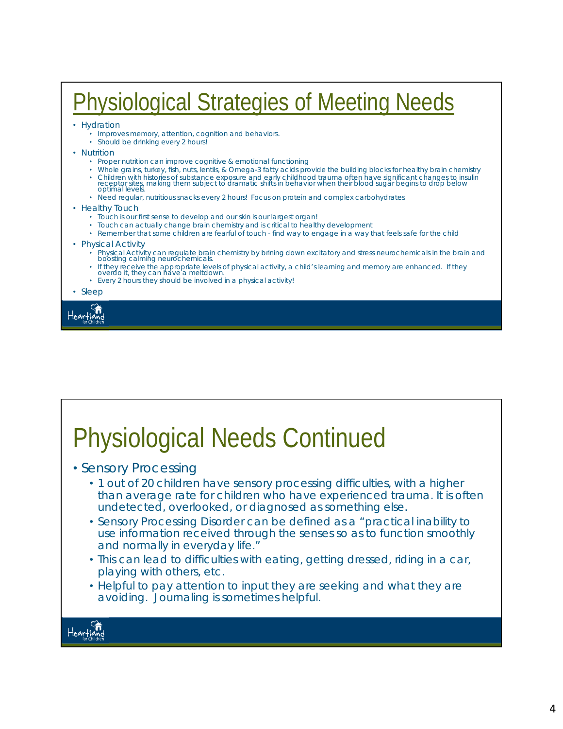#### Physiological Strategies of Meeting Needs

- Hydration
	- Improves memory, attention, cognition and behaviors.
	- Should be drinking every 2 hours!
- Nutrition
	- Proper nutrition can improve cognitive & emotional functioning
	- Whole grains, turkey, fish, nuts, lentils, & Omega-3 fatty acids provide the building blocks for healthy brain chemistry
	- Children with histories of substance exposure and early childhood trauma often have significant changes to insulin<br>receptor sites, making them subject to dramatic shifts in behavior when their blood sugar begins to drop • Need regular, nutritious snacks every 2 hours! Focus on protein and complex carbohydrates
	-
- Healthy Touch
	- Touch is our first sense to develop and our skin is our largest organ!
	- Touch can actually change brain chemistry and is critical to healthy development
	- Remember that some children are fearful of touch find way to engage in a way that feels safe for the child
- Physical Activity
	- Physical Activity can regulate brain chemistry by brining down excitatory and stress neurochemicals in the brain and boosting calming neurochemicals.
	- If they receive the appropriate levels of physical activity, a child's learning and memory are enhanced. If they overdo it, they can have a meltdown.
	- Every 2 hours they should be involved in a physical activity!

• Sleep



### Physiological Needs Continued

- Sensory Processing
	- 1 out of 20 children have sensory processing difficulties, with a higher than average rate for children who have experienced trauma. It is often undetected, overlooked, or diagnosed as something else.
	- Sensory Processing Disorder can be defined as a "practical inability to use information received through the senses so as to function smoothly and normally in everyday life."
	- This can lead to difficulties with eating, getting dressed, riding in a car, playing with others, etc.
	- Helpful to pay attention to input they are seeking and what they are avoiding. Journaling is sometimes helpful.

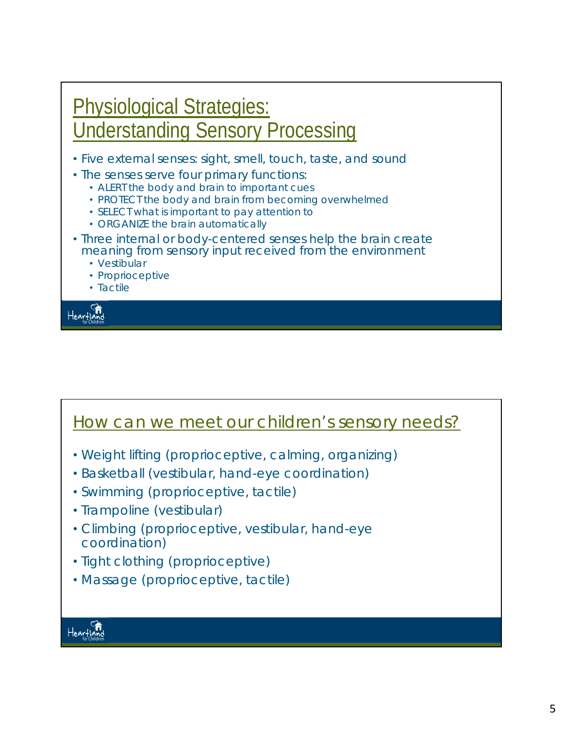

#### How can we meet our children's sensory needs?

- Weight lifting (proprioceptive, calming, organizing)
- Basketball (vestibular, hand-eye coordination)
- Swimming (proprioceptive, tactile)
- Trampoline (vestibular)
- Climbing (proprioceptive, vestibular, hand-eye coordination)
- Tight clothing (proprioceptive)
- Massage (proprioceptive, tactile)

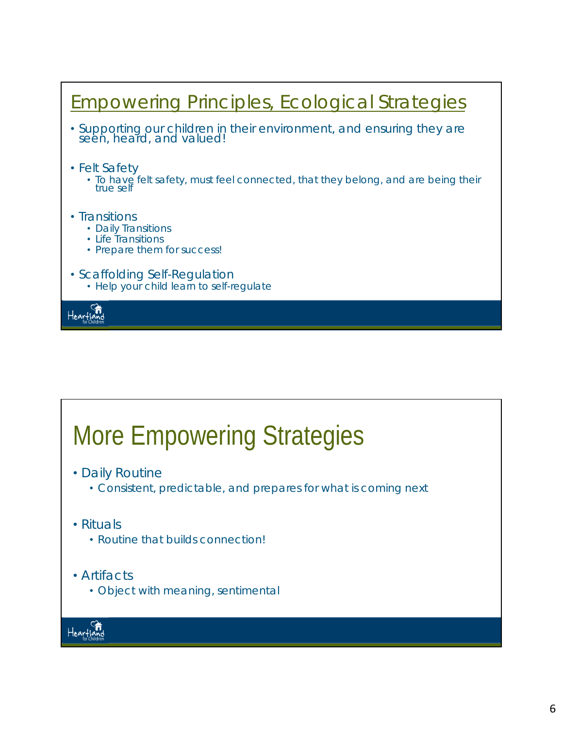

## More Empowering Strategies

- Daily Routine
	- Consistent, predictable, and prepares for what is coming next
- Rituals
	- Routine that builds connection!
- Artifacts
	- Object with meaning, sentimental

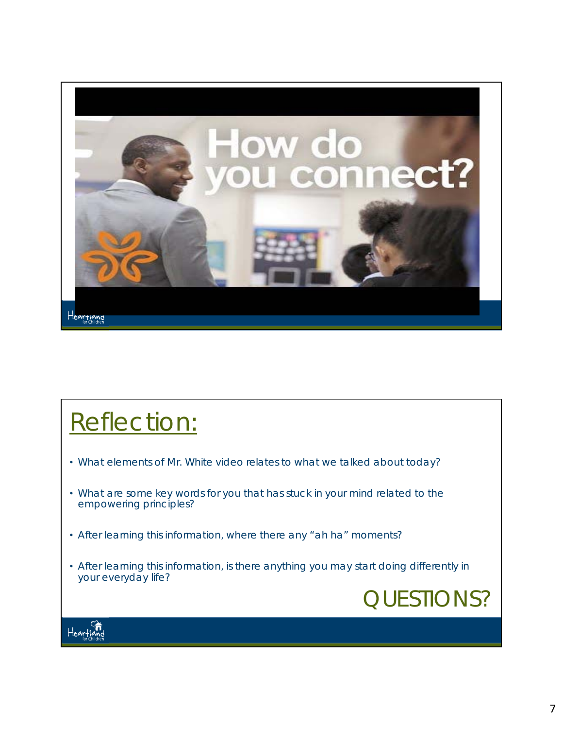

#### Reflection:

- What elements of Mr. White video relates to what we talked about today?
- What are some key words for you that has stuck in your mind related to the empowering principles?
- After learning this information, where there any "ah ha" moments?
- After learning this information, is there anything you may start doing differently in your everyday life?